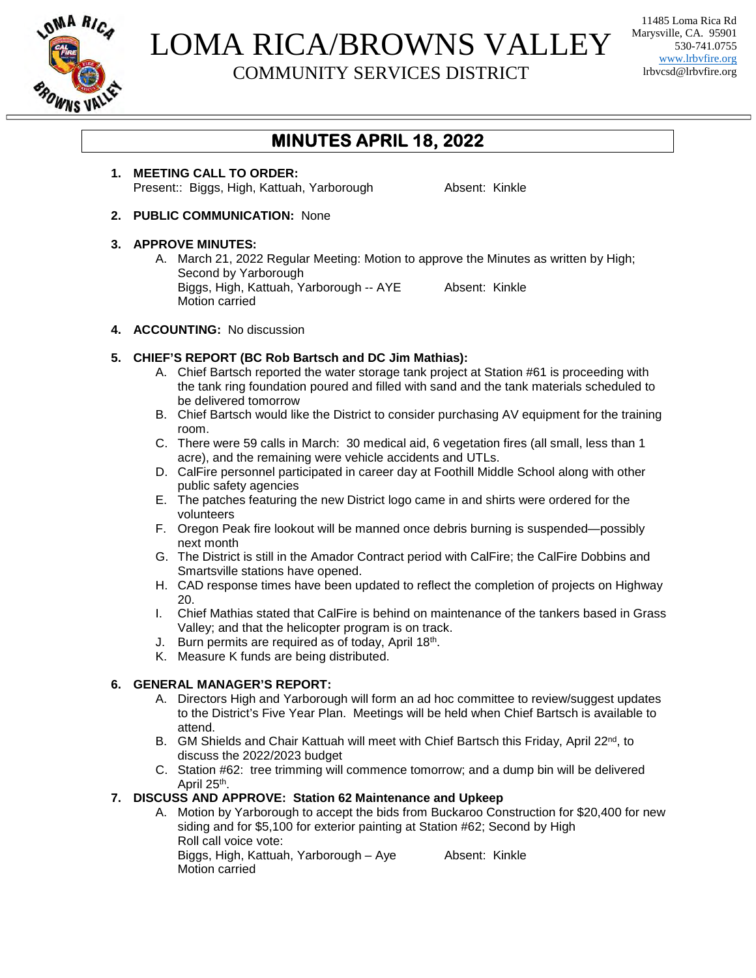

## LOMA RICA/BROWNS VALLEY COMMUNITY SERVICES DISTRICT

11485 Loma Rica Rd Marysville, CA. 95901 530-741.0755 www.lrbvfire.org lrbvcsd@lrbvfire.org

### **MINUTES APRIL 18, 2022**

**1. MEETING CALL TO ORDER:** Present:: Biggs, High, Kattuah, Yarborough Absent: Kinkle

**2. PUBLIC COMMUNICATION:** None

#### **3. APPROVE MINUTES:**

- A. March 21, 2022 Regular Meeting: Motion to approve the Minutes as written by High; Second by Yarborough Biggs, High, Kattuah, Yarborough -- AYE Absent: Kinkle Motion carried
- **4. ACCOUNTING:** No discussion

#### **5. CHIEF'S REPORT (BC Rob Bartsch and DC Jim Mathias):**

- A. Chief Bartsch reported the water storage tank project at Station #61 is proceeding with the tank ring foundation poured and filled with sand and the tank materials scheduled to be delivered tomorrow
- B. Chief Bartsch would like the District to consider purchasing AV equipment for the training room.
- C. There were 59 calls in March: 30 medical aid, 6 vegetation fires (all small, less than 1 acre), and the remaining were vehicle accidents and UTLs.
- D. CalFire personnel participated in career day at Foothill Middle School along with other public safety agencies
- E. The patches featuring the new District logo came in and shirts were ordered for the volunteers
- F. Oregon Peak fire lookout will be manned once debris burning is suspended—possibly next month
- G. The District is still in the Amador Contract period with CalFire; the CalFire Dobbins and Smartsville stations have opened.
- H. CAD response times have been updated to reflect the completion of projects on Highway 20.
- I. Chief Mathias stated that CalFire is behind on maintenance of the tankers based in Grass Valley; and that the helicopter program is on track.
- J. Burn permits are required as of today, April 18<sup>th</sup>.
- K. Measure K funds are being distributed.

#### **6. GENERAL MANAGER'S REPORT:**

- A. Directors High and Yarborough will form an ad hoc committee to review/suggest updates to the District's Five Year Plan. Meetings will be held when Chief Bartsch is available to attend.
- B. GM Shields and Chair Kattuah will meet with Chief Bartsch this Friday, April 22<sup>nd</sup>, to discuss the 2022/2023 budget
- C. Station #62: tree trimming will commence tomorrow; and a dump bin will be delivered April 25<sup>th</sup>.

#### **7. DISCUSS AND APPROVE: Station 62 Maintenance and Upkeep**

A. Motion by Yarborough to accept the bids from Buckaroo Construction for \$20,400 for new siding and for \$5,100 for exterior painting at Station #62; Second by High Roll call voice vote:

Biggs, High, Kattuah, Yarborough – Aye Absent: Kinkle Motion carried